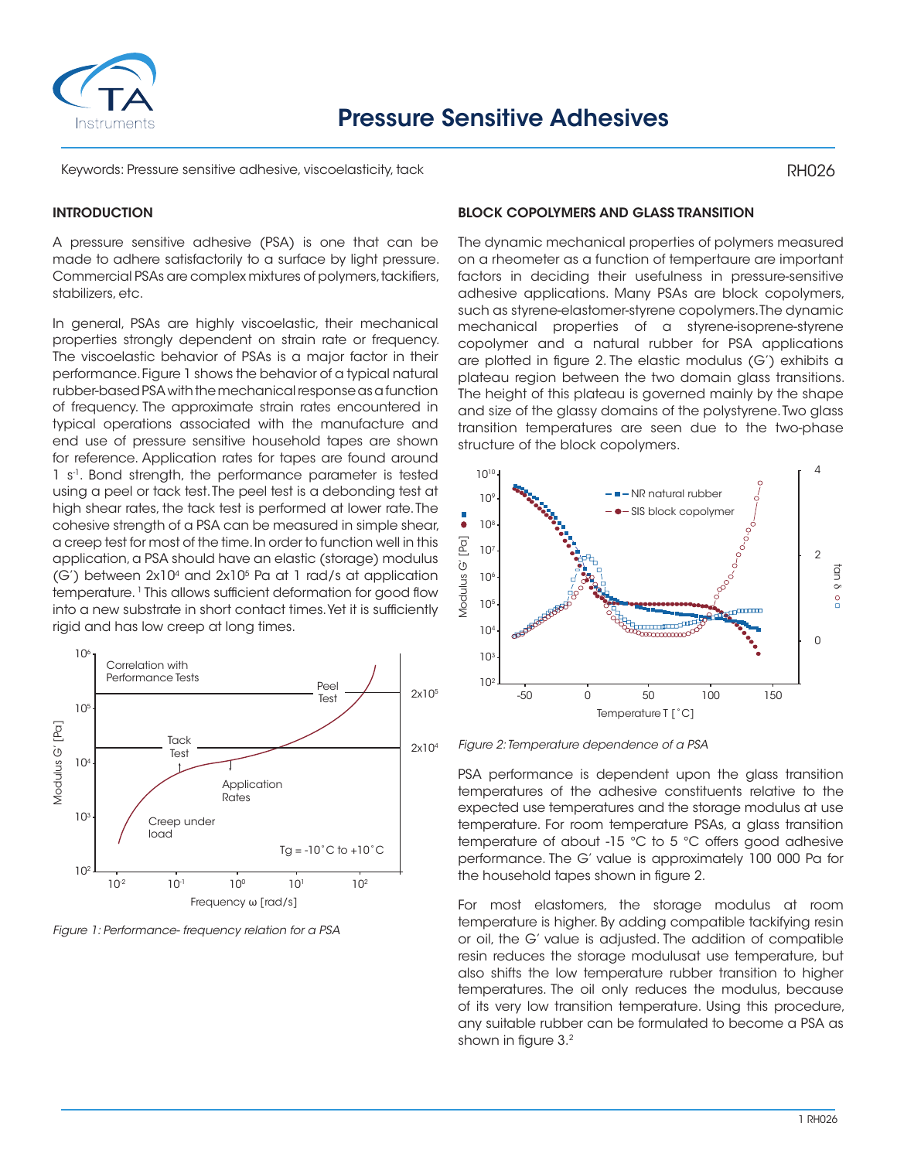

Keywords: Pressure sensitive adhesive, viscoelasticity, tack

#### **INTRODUCTION**

A pressure sensitive adhesive (PSA) is one that can be made to adhere satisfactorily to a surface by light pressure. Commercial PSAs are complex mixtures of polymers, tackifiers, stabilizers, etc.

In general, PSAs are highly viscoelastic, their mechanical properties strongly dependent on strain rate or frequency. The viscoelastic behavior of PSAs is a major factor in their performance. Figure 1 shows the behavior of a typical natural rubber-based PSA with the mechanical response as a function of frequency. The approximate strain rates encountered in typical operations associated with the manufacture and end use of pressure sensitive household tapes are shown for reference. Application rates for tapes are found around 1 s<sup>-1</sup>. Bond strength, the performance parameter is tested using a peel or tack test. The peel test is a debonding test at high shear rates, the tack test is performed at lower rate. The cohesive strength of a PSA can be measured in simple shear, a creep test for most of the time. In order to function well in this application, a PSA should have an elastic (storage) modulus  $(G')$  between  $2x10<sup>4</sup>$  and  $2x10<sup>5</sup>$  Pa at 1 rad/s at application temperature. 1 This allows sufficient deformation for good flow into a new substrate in short contact times. Yet it is sufficiently rigid and has low creep at long times.



*Figure 1: Performance- frequency relation for a PSA*

#### BLOCK COPOLYMERS AND GLASS TRANSITION

The dynamic mechanical properties of polymers measured on a rheometer as a function of tempertaure are important factors in deciding their usefulness in pressure-sensitive adhesive applications. Many PSAs are block copolymers, such as styrene-elastomer-styrene copolymers. The dynamic mechanical properties of a styrene-isoprene-styrene copolymer and a natural rubber for PSA applications are plotted in figure 2. The elastic modulus (G') exhibits a plateau region between the two domain glass transitions. The height of this plateau is governed mainly by the shape and size of the glassy domains of the polystyrene. Two glass transition temperatures are seen due to the two-phase structure of the block copolymers.



*Figure 2: Temperature dependence of a PSA*

PSA performance is dependent upon the glass transition temperatures of the adhesive constituents relative to the expected use temperatures and the storage modulus at use temperature. For room temperature PSAs, a glass transition temperature of about -15 °C to 5 °C offers good adhesive performance. The G' value is approximately 100 000 Pa for the household tapes shown in figure 2.

For most elastomers, the storage modulus at room temperature is higher. By adding compatible tackifying resin or oil, the G' value is adjusted. The addition of compatible resin reduces the storage modulusat use temperature, but also shifts the low temperature rubber transition to higher temperatures. The oil only reduces the modulus, because of its very low transition temperature. Using this procedure, any suitable rubber can be formulated to become a PSA as shown in figure 3.2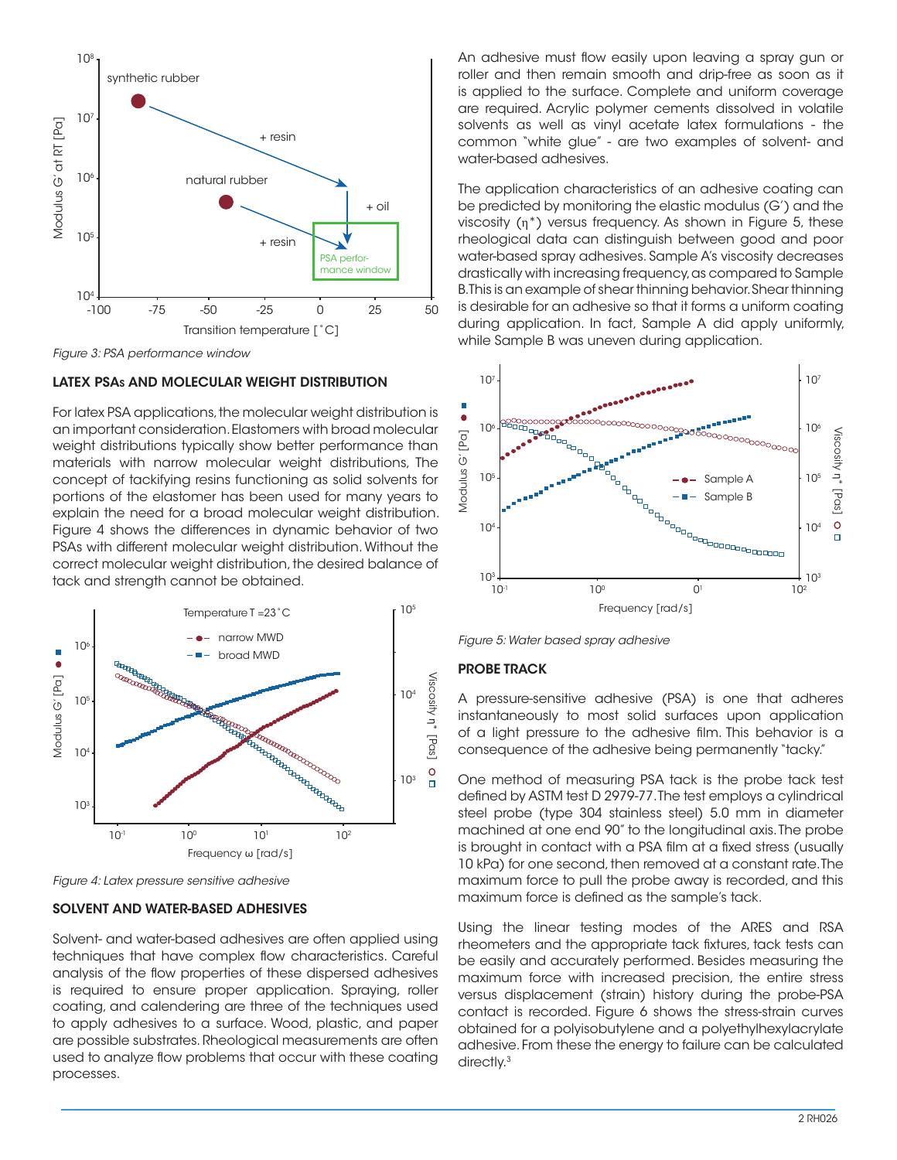

*Figure 3: PSA performance window*

## LATEX PSAs AND MOLECULAR WEIGHT DISTRIBUTION

For latex PSA applications, the molecular weight distribution is an important consideration. Elastomers with broad molecular weight distributions typically show better performance than materials with narrow molecular weight distributions, The concept of tackifying resins functioning as solid solvents for portions of the elastomer has been used for many years to explain the need for a broad molecular weight distribution. Figure 4 shows the differences in dynamic behavior of two PSAs with different molecular weight distribution. Without the correct molecular weight distribution, the desired balance of tack and strength cannot be obtained.



*Figure 4: Latex pressure sensitive adhesive*

#### SOLVENT AND WATER-BASED ADHESIVES

Solvent- and water-based adhesives are often applied using techniques that have complex flow characteristics. Careful analysis of the flow properties of these dispersed adhesives is required to ensure proper application. Spraying, roller coating, and calendering are three of the techniques used to apply adhesives to a surface. Wood, plastic, and paper are possible substrates. Rheological measurements are often used to analyze flow problems that occur with these coating processes.

An adhesive must flow easily upon leaving a spray gun or roller and then remain smooth and drip-free as soon as it is applied to the surface. Complete and uniform coverage are required. Acrylic polymer cements dissolved in volatile solvents as well as vinyl acetate latex formulations - the common "white glue" - are two examples of solvent- and water-based adhesives.

The application characteristics of an adhesive coating can be predicted by monitoring the elastic modulus (G') and the viscosity (η\*) versus frequency. As shown in Figure 5, these rheological data can distinguish between good and poor water-based spray adhesives. Sample A's viscosity decreases drastically with increasing frequency, as compared to Sample B. This is an example of shear thinning behavior. Shear thinning is desirable for an adhesive so that it forms a uniform coating during application. In fact, Sample A did apply uniformly, while Sample B was uneven during application.



*Figure 5: Water based spray adhesive*

## PROBE TRACK

A pressure-sensitive adhesive (PSA) is one that adheres instantaneously to most solid surfaces upon application of a light pressure to the adhesive film. This behavior is a consequence of the adhesive being permanently "tacky."

One method of measuring PSA tack is the probe tack test defined by ASTM test D 2979-77. The test employs a cylindrical steel probe (type 304 stainless steel) 5.0 mm in diameter machined at one end 90" to the longitudinal axis. The probe is brought in contact with a PSA film at a fixed stress (usually 10 kPa) for one second, then removed at a constant rate. The maximum force to pull the probe away is recorded, and this maximum force is defined as the sample's tack.

Using the linear testing modes of the ARES and RSA rheometers and the appropriate tack fixtures, tack tests can be easily and accurately performed. Besides measuring the maximum force with increased precision, the entire stress versus displacement (strain) history during the probe-PSA contact is recorded. Figure 6 shows the stress-strain curves obtained for a polyisobutylene and a polyethylhexylacrylate adhesive. From these the energy to failure can be calculated directly.<sup>3</sup>